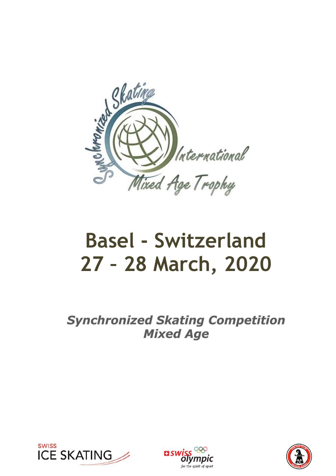

# Basel - Switzerland 27 – 28 March, 2020

**Synchronized Skating Competition Mixed Age** 





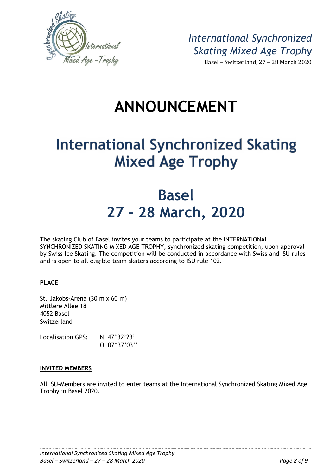

International Synchronized Skating Mixed Age Trophy Basel – Switzerland, 27 – 28 March 2020

## ANNOUNCEMENT

## **International Synchronized Skating Mixed Age Trophy**

## Basel 27 – 28 March, 2020

The skating Club of Basel invites your teams to participate at the INTERNATIONAL SYNCHRONIZED SKATING MIXED AGE TROPHY, synchronized skating competition, upon approval by Swiss Ice Skating. The competition will be conducted in accordance with Swiss and ISU rules and is open to all eligible team skaters according to ISU rule 102.

### PLACE

St. Jakobs-Arena (30 m x 60 m) Mittlere Allee 18 4052 Basel Switzerland

Localisation GPS: N 47°32'23" O 07°37'03''

### INVITED MEMBERS

All ISU-Members are invited to enter teams at the International Synchronized Skating Mixed Age Trophy in Basel 2020.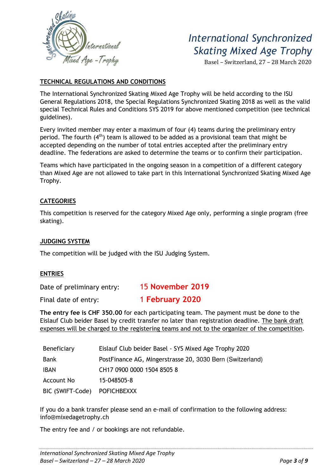

Basel – Switzerland, 27 – 28 March 2020

### TECHNICAL REGULATIONS AND CONDITIONS

The International Synchronized Skating Mixed Age Trophy will be held according to the ISU General Regulations 2018, the Special Regulations Synchronized Skating 2018 as well as the valid special Technical Rules and Conditions SYS 2019 for above mentioned competition (see technical guidelines).

Every invited member may enter a maximum of four (4) teams during the preliminary entry period. The fourth  $(4<sup>th</sup>)$  team is allowed to be added as a provisional team that might be accepted depending on the number of total entries accepted after the preliminary entry deadline. The federations are asked to determine the teams or to confirm their participation.

Teams which have participated in the ongoing season in a competition of a different category than Mixed Age are not allowed to take part in this International Synchronized Skating Mixed Age Trophy.

### **CATEGORIES**

This competition is reserved for the category Mixed Age only, performing a single program (free skating).

### JUDGING SYSTEM

The competition will be judged with the ISU Judging System.

### ENTRIES

Date of preliminary entry: 15 November 2019

Final date of entry: 1 February 2020

The entry fee is CHF 350.00 for each participating team. The payment must be done to the Eislauf Club beider Basel by credit transfer no later than registration deadline. The bank draft expenses will be charged to the registering teams and not to the organizer of the competition.

| Beneficiary      | Eislauf Club beider Basel - SYS Mixed Age Trophy 2020     |  |
|------------------|-----------------------------------------------------------|--|
| Bank             | PostFinance AG, Mingerstrasse 20, 3030 Bern (Switzerland) |  |
| <b>IBAN</b>      | CH17 0900 0000 1504 8505 8                                |  |
| Account No       | 15-048505-8                                               |  |
| BIC (SWIFT-Code) | <b>POFICHBEXXX</b>                                        |  |

If you do a bank transfer please send an e-mail of confirmation to the following address: info@mixedagetrophy.ch

The entry fee and / or bookings are not refundable.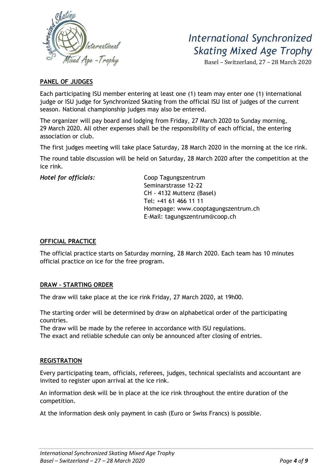

Basel – Switzerland, 27 – 28 March 2020

### PANEL OF JUDGES

Each participating ISU member entering at least one (1) team may enter one (1) international judge or ISU judge for Synchronized Skating from the official ISU list of judges of the current season. National championship judges may also be entered.

The organizer will pay board and lodging from Friday, 27 March 2020 to Sunday morning, 29 March 2020. All other expenses shall be the responsibility of each official, the entering association or club.

The first judges meeting will take place Saturday, 28 March 2020 in the morning at the ice rink.

The round table discussion will be held on Saturday, 28 March 2020 after the competition at the ice rink.

Hotel for officials: Coop Tagungszentrum Seminarstrasse 12-22 CH - 4132 Muttenz (Basel) Tel: +41 61 466 11 11 Homepage: www.cooptagungszentrum.ch E-Mail: tagungszentrum@coop.ch

### OFFICIAL PRACTICE

The official practice starts on Saturday morning, 28 March 2020. Each team has 10 minutes official practice on ice for the free program.

### DRAW – STARTING ORDER

The draw will take place at the ice rink Friday, 27 March 2020, at 19h00.

The starting order will be determined by draw on alphabetical order of the participating countries.

The draw will be made by the referee in accordance with ISU regulations.

The exact and reliable schedule can only be announced after closing of entries.

### **REGISTRATION**

Every participating team, officials, referees, judges, technical specialists and accountant are invited to register upon arrival at the ice rink.

An information desk will be in place at the ice rink throughout the entire duration of the competition.

At the information desk only payment in cash (Euro or Swiss Francs) is possible.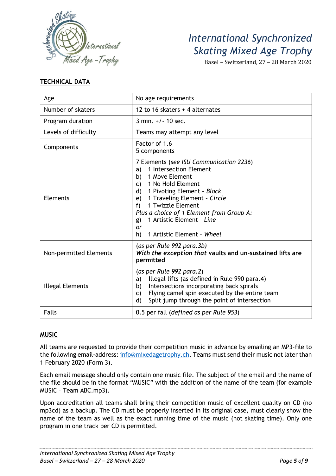

Basel – Switzerland, 27 – 28 March 2020

### TECHNICAL DATA

| Age                     | No age requirements                                                                                                                                                                                                                                                                                                                                                           |  |  |
|-------------------------|-------------------------------------------------------------------------------------------------------------------------------------------------------------------------------------------------------------------------------------------------------------------------------------------------------------------------------------------------------------------------------|--|--|
| Number of skaters       | 12 to 16 skaters + 4 alternates                                                                                                                                                                                                                                                                                                                                               |  |  |
| Program duration        | 3 min. $+/- 10$ sec.                                                                                                                                                                                                                                                                                                                                                          |  |  |
| Levels of difficulty    | Teams may attempt any level                                                                                                                                                                                                                                                                                                                                                   |  |  |
| Components              | Factor of 1.6<br>5 components                                                                                                                                                                                                                                                                                                                                                 |  |  |
| <b>Elements</b>         | 7 Elements (see ISU Communication 2236)<br>1 Intersection Element<br>a)<br>1 Move Element<br>b)<br>1 No Hold Element<br>$\mathsf{C}$ )<br>1 Pivoting Element - Block<br>$\mathsf{d}$<br>1 Traveling Element - Circle<br>e)<br>1 Twizzle Element<br>f<br>Plus a choice of 1 Element from Group A:<br>1 Artistic Element - Line<br>g)<br>or<br>1 Artistic Element - Wheel<br>h) |  |  |
| Non-permitted Elements  | (as per Rule 992 para.3b)<br>With the exception that vaults and un-sustained lifts are<br>permitted                                                                                                                                                                                                                                                                           |  |  |
| <b>Illegal Elements</b> | (as per Rule 992 para.2)<br>Illegal lifts (as defined in Rule 990 para.4)<br>a)<br>Intersections incorporating back spirals<br>b)<br>Flying camel spin executed by the entire team<br>C)<br>Split jump through the point of intersection<br>$\mathsf{d}$                                                                                                                      |  |  |
| <b>Falls</b>            | 0.5 per fall (defined as per Rule 953)                                                                                                                                                                                                                                                                                                                                        |  |  |

### MUSIC

All teams are requested to provide their competition music in advance by emailing an MP3-file to the following email-address: info@mixedagetrophy.ch. Teams must send their music not later than 1 February 2020 (Form 3).

Each email message should only contain one music file. The subject of the email and the name of the file should be in the format "MUSIC" with the addition of the name of the team (for example MUSIC – Team ABC.mp3).

Upon accreditation all teams shall bring their competition music of excellent quality on CD (no mp3cd) as a backup. The CD must be properly inserted in its original case, must clearly show the name of the team as well as the exact running time of the music (not skating time). Only one program in one track per CD is permitted.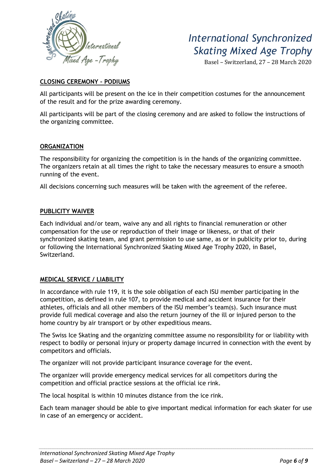

Basel – Switzerland, 27 – 28 March 2020

### CLOSING CEREMONY – PODIUMS

All participants will be present on the ice in their competition costumes for the announcement of the result and for the prize awarding ceremony.

All participants will be part of the closing ceremony and are asked to follow the instructions of the organizing committee.

### **ORGANIZATION**

The responsibility for organizing the competition is in the hands of the organizing committee. The organizers retain at all times the right to take the necessary measures to ensure a smooth running of the event.

All decisions concerning such measures will be taken with the agreement of the referee.

### PUBLICITY WAIVER

Each individual and/or team, waive any and all rights to financial remuneration or other compensation for the use or reproduction of their image or likeness, or that of their synchronized skating team, and grant permission to use same, as or in publicity prior to, during or following the International Synchronized Skating Mixed Age Trophy 2020, in Basel, Switzerland.

### MEDICAL SERVICE / LIABILITY

In accordance with rule 119, it is the sole obligation of each ISU member participating in the competition, as defined in rule 107, to provide medical and accident insurance for their athletes, officials and all other members of the ISU member's team(s). Such insurance must provide full medical coverage and also the return journey of the ill or injured person to the home country by air transport or by other expeditious means.

The Swiss Ice Skating and the organizing committee assume no responsibility for or liability with respect to bodily or personal injury or property damage incurred in connection with the event by competitors and officials.

The organizer will not provide participant insurance coverage for the event.

The organizer will provide emergency medical services for all competitors during the competition and official practice sessions at the official ice rink.

The local hospital is within 10 minutes distance from the ice rink.

Each team manager should be able to give important medical information for each skater for use in case of an emergency or accident.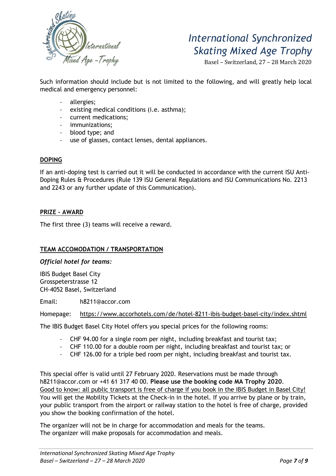

Basel – Switzerland, 27 – 28 March 2020

Such information should include but is not limited to the following, and will greatly help local medical and emergency personnel:

- allergies;
- existing medical conditions (i.e. asthma);
- current medications;
- immunizations;
- blood type; and
- use of glasses, contact lenses, dental appliances.

### DOPING

If an anti-doping test is carried out it will be conducted in accordance with the current ISU Anti-Doping Rules & Procedures (Rule 139 ISU General Regulations and ISU Communications No. 2213 and 2243 or any further update of this Communication).

### PRIZE - AWARD

The first three (3) teams will receive a reward.

### TEAM ACCOMODATION / TRANSPORTATION

Official hotel for teams:

IBIS Budget Basel City Grosspeterstrasse 12 CH-4052 Basel, Switzerland

Email: h8211@accor.com

Homepage: https://www.accorhotels.com/de/hotel-8211-ibis-budget-basel-city/index.shtml

The IBIS Budget Basel City Hotel offers you special prices for the following rooms:

- CHF 94.00 for a single room per night, including breakfast and tourist tax;
- CHF 110.00 for a double room per night, including breakfast and tourist tax; or
- CHF 126.00 for a triple bed room per night, including breakfast and tourist tax.

This special offer is valid until 27 February 2020. Reservations must be made through h8211@accor.com or +41 61 317 40 00. Please use the booking code MA Trophy 2020. Good to know: all public transport is free of charge if you book in the IBIS Budget in Basel City! You will get the Mobility Tickets at the Check-in in the hotel. If you arrive by plane or by train, your public transport from the airport or railway station to the hotel is free of charge, provided you show the booking confirmation of the hotel.

The organizer will not be in charge for accommodation and meals for the teams. The organizer will make proposals for accommodation and meals.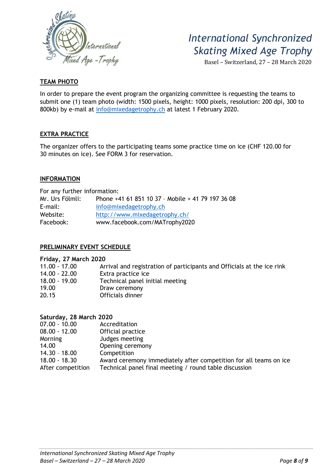

Basel – Switzerland, 27 – 28 March 2020

### TEAM PHOTO

In order to prepare the event program the organizing committee is requesting the teams to submit one (1) team photo (width: 1500 pixels, height: 1000 pixels, resolution: 200 dpi, 300 to 800kb) by e-mail at info@mixedagetrophy.ch at latest 1 February 2020.

### EXTRA PRACTICE

The organizer offers to the participating teams some practice time on ice (CHF 120.00 for 30 minutes on ice). See FORM 3 for reservation.

### INFORMATION

For any further information: Mr. Urs Fölmli: Phone +41 61 851 10 37 – Mobile + 41 79 197 36 08 E-mail: info@mixedagetrophy.ch Website: http://www.mixedagetrophy.ch/ Facebook: www.facebook.com/MATrophy2020

### PRELIMINARY EVENT SCHEDULE

#### Friday, 27 March 2020

| $11.00 - 17.00$<br>14.00 - 22.00 | Arrival and registration of participants and Officials at the ice rink<br>Extra practice ice |
|----------------------------------|----------------------------------------------------------------------------------------------|
| $18.00 - 19.00$                  | Technical panel initial meeting                                                              |
| 19.00                            | Draw ceremony                                                                                |
| 20.15                            | Officials dinner                                                                             |

| Saturday, 28 March 2020 |                                                                   |
|-------------------------|-------------------------------------------------------------------|
| $07.00 - 10.00$         | Accreditation                                                     |
| $08.00 - 12.00$         | Official practice                                                 |
| Morning                 | Judges meeting                                                    |
| 14.00                   | Opening ceremony                                                  |
| $14.30 - 18.00$         | Competition                                                       |
| $18.00 - 18.30$         | Award ceremony immediately after competition for all teams on ice |
| After competition       | Technical panel final meeting / round table discussion            |